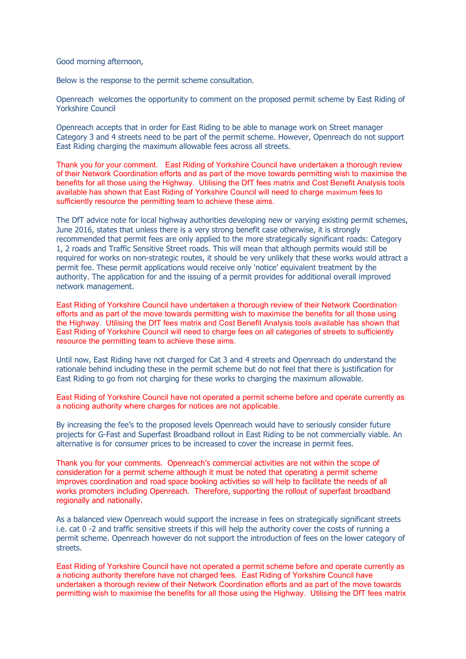Good morning afternoon,

Below is the response to the permit scheme consultation.

Openreach welcomes the opportunity to comment on the proposed permit scheme by East Riding of Yorkshire Council

Openreach accepts that in order for East Riding to be able to manage work on Street manager Category 3 and 4 streets need to be part of the permit scheme. However, Openreach do not support East Riding charging the maximum allowable fees across all streets.

Thank you for your comment. East Riding of Yorkshire Council have undertaken a thorough review of their Network Coordination efforts and as part of the move towards permitting wish to maximise the benefits for all those using the Highway. Utilising the DfT fees matrix and Cost Benefit Analysis tools available has shown that East Riding of Yorkshire Council will need to charge maximum fees to sufficiently resource the permitting team to achieve these aims.

The DfT advice note for local highway authorities developing new or varying existing permit schemes, June 2016, states that unless there is a very strong benefit case otherwise, it is strongly recommended that permit fees are only applied to the more strategically significant roads: Category 1, 2 roads and Traffic Sensitive Street roads. This will mean that although permits would still be required for works on non-strategic routes, it should be very unlikely that these works would attract a permit fee. These permit applications would receive only 'notice' equivalent treatment by the authority. The application for and the issuing of a permit provides for additional overall improved network management.

East Riding of Yorkshire Council have undertaken a thorough review of their Network Coordination efforts and as part of the move towards permitting wish to maximise the benefits for all those using the Highway. Utilising the DfT fees matrix and Cost Benefit Analysis tools available has shown that East Riding of Yorkshire Council will need to charge fees on all categories of streets to sufficiently resource the permitting team to achieve these aims.

Until now, East Riding have not charged for Cat 3 and 4 streets and Openreach do understand the rationale behind including these in the permit scheme but do not feel that there is justification for East Riding to go from not charging for these works to charging the maximum allowable.

East Riding of Yorkshire Council have not operated a permit scheme before and operate currently as a noticing authority where charges for notices are not applicable.

By increasing the fee's to the proposed levels Openreach would have to seriously consider future projects for G-Fast and Superfast Broadband rollout in East Riding to be not commercially viable. An alternative is for consumer prices to be increased to cover the increase in permit fees.

Thank you for your comments. Openreach's commercial activities are not within the scope of consideration for a permit scheme although it must be noted that operating a permit scheme improves coordination and road space booking activities so will help to facilitate the needs of all works promoters including Openreach. Therefore, supporting the rollout of superfast broadband regionally and nationally.

As a balanced view Openreach would support the increase in fees on strategically significant streets i.e. cat 0 -2 and traffic sensitive streets if this will help the authority cover the costs of running a permit scheme. Openreach however do not support the introduction of fees on the lower category of streets.

East Riding of Yorkshire Council have not operated a permit scheme before and operate currently as a noticing authority therefore have not charged fees. East Riding of Yorkshire Council have undertaken a thorough review of their Network Coordination efforts and as part of the move towards permitting wish to maximise the benefits for all those using the Highway. Utilising the DfT fees matrix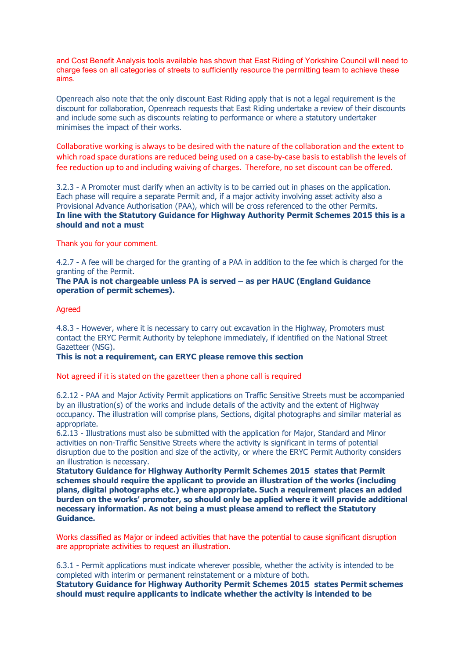and Cost Benefit Analysis tools available has shown that East Riding of Yorkshire Council will need to charge fees on all categories of streets to sufficiently resource the permitting team to achieve these aims.

Openreach also note that the only discount East Riding apply that is not a legal requirement is the discount for collaboration, Openreach requests that East Riding undertake a review of their discounts and include some such as discounts relating to performance or where a statutory undertaker minimises the impact of their works.

Collaborative working is always to be desired with the nature of the collaboration and the extent to which road space durations are reduced being used on a case-by-case basis to establish the levels of fee reduction up to and including waiving of charges. Therefore, no set discount can be offered.

3.2.3 - A Promoter must clarify when an activity is to be carried out in phases on the application. Each phase will require a separate Permit and, if a major activity involving asset activity also a Provisional Advance Authorisation (PAA), which will be cross referenced to the other Permits. In line with the Statutory Guidance for Highway Authority Permit Schemes 2015 this is a should and not a must

Thank you for your comment.

4.2.7 - A fee will be charged for the granting of a PAA in addition to the fee which is charged for the granting of the Permit.

The PAA is not chargeable unless PA is served – as per HAUC (England Guidance operation of permit schemes).

## Agreed

4.8.3 - However, where it is necessary to carry out excavation in the Highway, Promoters must contact the ERYC Permit Authority by telephone immediately, if identified on the National Street Gazetteer (NSG).

## This is not a requirement, can ERYC please remove this section

Not agreed if it is stated on the gazetteer then a phone call is required

6.2.12 - PAA and Major Activity Permit applications on Traffic Sensitive Streets must be accompanied by an illustration(s) of the works and include details of the activity and the extent of Highway occupancy. The illustration will comprise plans, Sections, digital photographs and similar material as appropriate.

6.2.13 - Illustrations must also be submitted with the application for Major, Standard and Minor activities on non-Traffic Sensitive Streets where the activity is significant in terms of potential disruption due to the position and size of the activity, or where the ERYC Permit Authority considers an illustration is necessary.

Statutory Guidance for Highway Authority Permit Schemes 2015 states that Permit schemes should require the applicant to provide an illustration of the works (including plans, digital photographs etc.) where appropriate. Such a requirement places an added burden on the works' promoter, so should only be applied where it will provide additional necessary information. As not being a must please amend to reflect the Statutory Guidance.

Works classified as Major or indeed activities that have the potential to cause significant disruption are appropriate activities to request an illustration.

6.3.1 - Permit applications must indicate wherever possible, whether the activity is intended to be completed with interim or permanent reinstatement or a mixture of both.

Statutory Guidance for Highway Authority Permit Schemes 2015 states Permit schemes should must require applicants to indicate whether the activity is intended to be